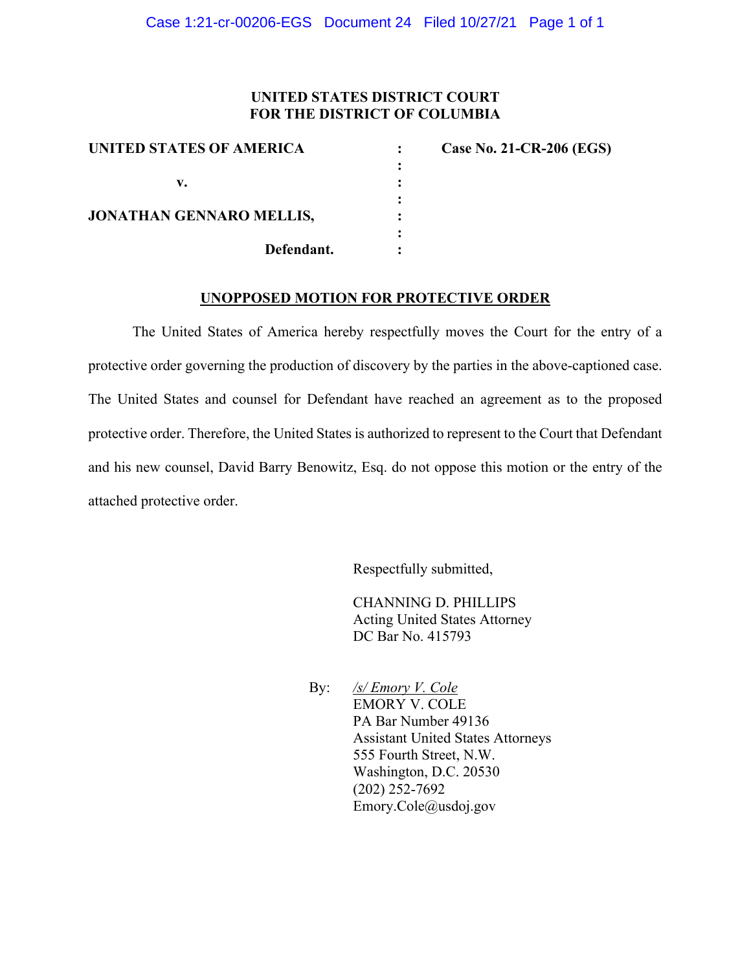## **UNITED STATES DISTRICT COURT FOR THE DISTRICT OF COLUMBIA**

| UNITED STATES OF AMERICA        | <b>Case No. 21-CR-206 (EGS)</b> |
|---------------------------------|---------------------------------|
|                                 |                                 |
| v.                              |                                 |
|                                 |                                 |
| <b>JONATHAN GENNARO MELLIS,</b> |                                 |
|                                 |                                 |
| Defendant.                      |                                 |

#### **UNOPPOSED MOTION FOR PROTECTIVE ORDER**

The United States of America hereby respectfully moves the Court for the entry of a protective order governing the production of discovery by the parties in the above-captioned case. The United States and counsel for Defendant have reached an agreement as to the proposed protective order. Therefore, the United States is authorized to represent to the Court that Defendant and his new counsel, David Barry Benowitz, Esq. do not oppose this motion or the entry of the attached protective order.

Respectfully submitted,

CHANNING D. PHILLIPS Acting United States Attorney DC Bar No. 415793

By: */s/ Emory V. Cole* EMORY V. COLE PA Bar Number 49136 Assistant United States Attorneys 555 Fourth Street, N.W. Washington, D.C. 20530 (202) 252-7692 Emory.Cole@usdoj.gov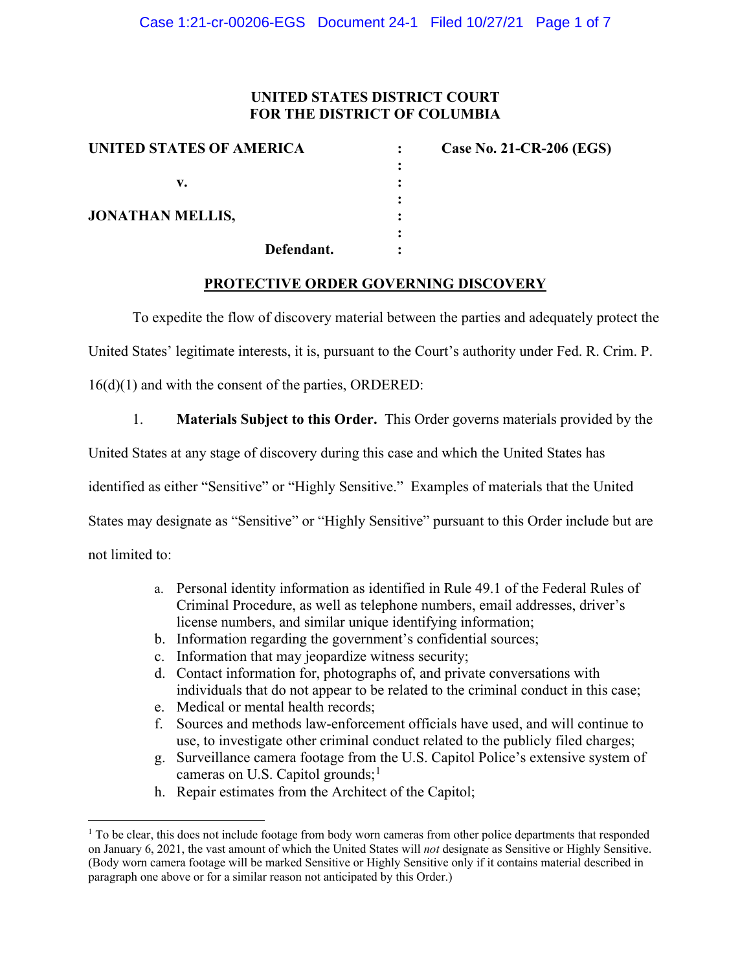# **UNITED STATES DISTRICT COURT FOR THE DISTRICT OF COLUMBIA**

**:**

**:**

**:**

| UNITED STATES OF AMERICA |  |  |  |
|--------------------------|--|--|--|
| V.                       |  |  |  |
| <b>JONATHAN MELLIS,</b>  |  |  |  |
|                          |  |  |  |

**: Case No. 21-CR-206 (EGS)** 

**Defendant. :**

# **PROTECTIVE ORDER GOVERNING DISCOVERY**

To expedite the flow of discovery material between the parties and adequately protect the

United States' legitimate interests, it is, pursuant to the Court's authority under Fed. R. Crim. P.

16(d)(1) and with the consent of the parties, ORDERED:

1. **Materials Subject to this Order.** This Order governs materials provided by the

United States at any stage of discovery during this case and which the United States has

identified as either "Sensitive" or "Highly Sensitive." Examples of materials that the United

States may designate as "Sensitive" or "Highly Sensitive" pursuant to this Order include but are

not limited to:

- a. Personal identity information as identified in Rule 49.1 of the Federal Rules of Criminal Procedure, as well as telephone numbers, email addresses, driver's license numbers, and similar unique identifying information;
- b. Information regarding the government's confidential sources;
- c. Information that may jeopardize witness security;
- d. Contact information for, photographs of, and private conversations with individuals that do not appear to be related to the criminal conduct in this case;
- e. Medical or mental health records;
- f. Sources and methods law-enforcement officials have used, and will continue to use, to investigate other criminal conduct related to the publicly filed charges;
- g. Surveillance camera footage from the U.S. Capitol Police's extensive system of cameras on U.S. Capitol grounds;<sup>1</sup>
- h. Repair estimates from the Architect of the Capitol;

<sup>&</sup>lt;sup>1</sup> To be clear, this does not include footage from body worn cameras from other police departments that responded on January 6, 2021, the vast amount of which the United States will *not* designate as Sensitive or Highly Sensitive. (Body worn camera footage will be marked Sensitive or Highly Sensitive only if it contains material described in paragraph one above or for a similar reason not anticipated by this Order.)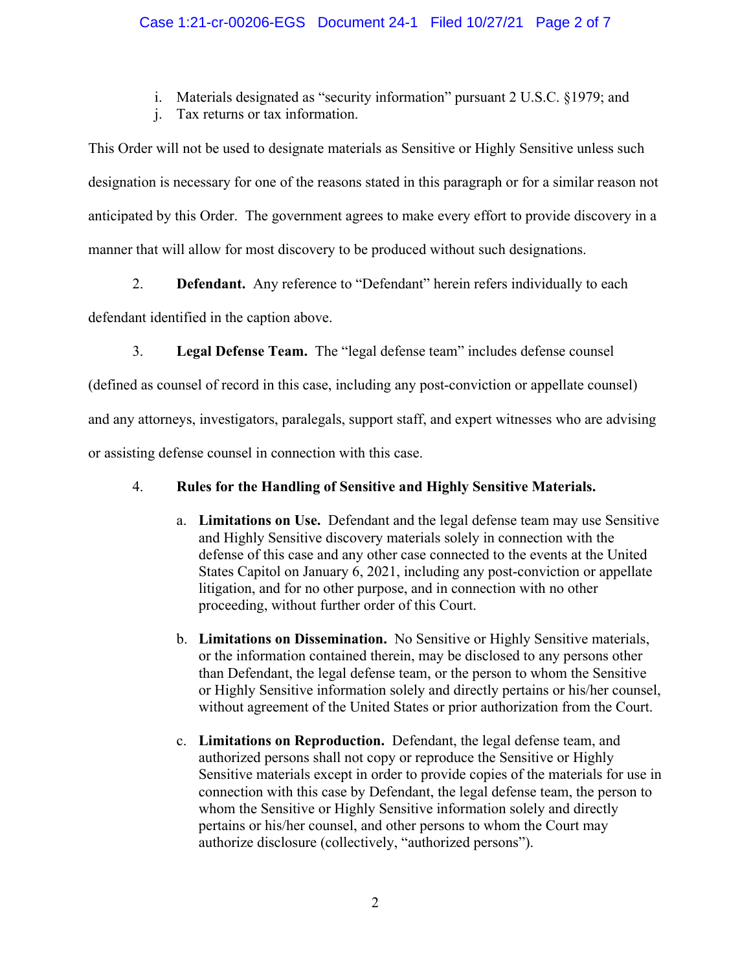i. Materials designated as "security information" pursuant 2 U.S.C. §1979; and

j. Tax returns or tax information.

This Order will not be used to designate materials as Sensitive or Highly Sensitive unless such designation is necessary for one of the reasons stated in this paragraph or for a similar reason not anticipated by this Order. The government agrees to make every effort to provide discovery in a manner that will allow for most discovery to be produced without such designations.

2. **Defendant.** Any reference to "Defendant" herein refers individually to each

defendant identified in the caption above.

3. **Legal Defense Team.** The "legal defense team" includes defense counsel

(defined as counsel of record in this case, including any post-conviction or appellate counsel)

and any attorneys, investigators, paralegals, support staff, and expert witnesses who are advising

or assisting defense counsel in connection with this case.

# 4. **Rules for the Handling of Sensitive and Highly Sensitive Materials.**

- a. **Limitations on Use.** Defendant and the legal defense team may use Sensitive and Highly Sensitive discovery materials solely in connection with the defense of this case and any other case connected to the events at the United States Capitol on January 6, 2021, including any post-conviction or appellate litigation, and for no other purpose, and in connection with no other proceeding, without further order of this Court.
- b. **Limitations on Dissemination.** No Sensitive or Highly Sensitive materials, or the information contained therein, may be disclosed to any persons other than Defendant, the legal defense team, or the person to whom the Sensitive or Highly Sensitive information solely and directly pertains or his/her counsel, without agreement of the United States or prior authorization from the Court.
- c. **Limitations on Reproduction.** Defendant, the legal defense team, and authorized persons shall not copy or reproduce the Sensitive or Highly Sensitive materials except in order to provide copies of the materials for use in connection with this case by Defendant, the legal defense team, the person to whom the Sensitive or Highly Sensitive information solely and directly pertains or his/her counsel, and other persons to whom the Court may authorize disclosure (collectively, "authorized persons").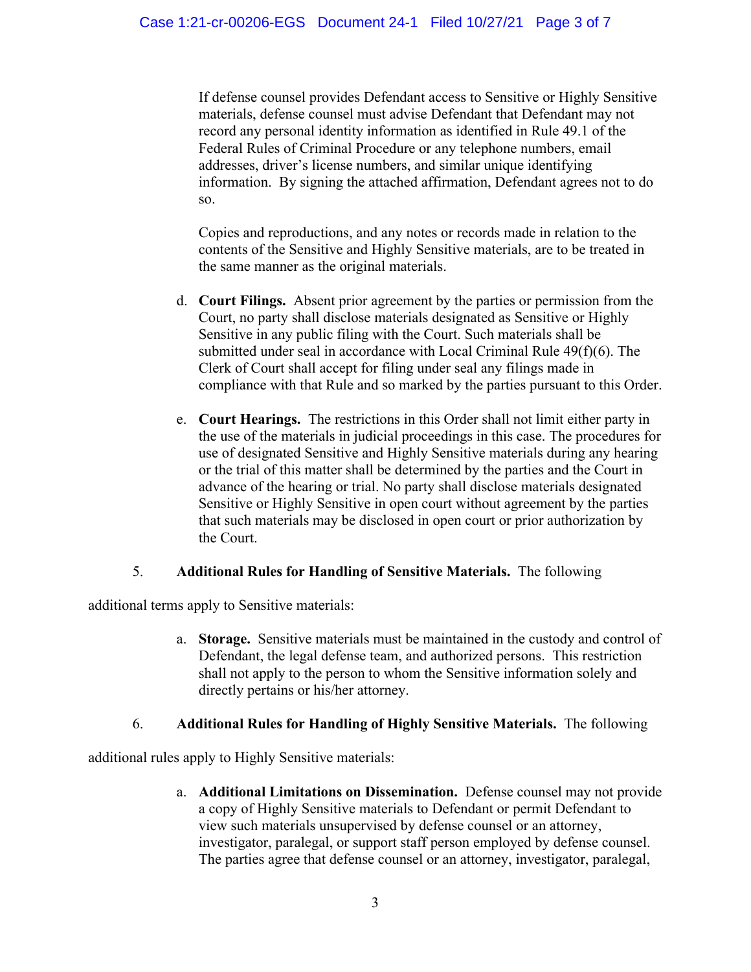If defense counsel provides Defendant access to Sensitive or Highly Sensitive materials, defense counsel must advise Defendant that Defendant may not record any personal identity information as identified in Rule 49.1 of the Federal Rules of Criminal Procedure or any telephone numbers, email addresses, driver's license numbers, and similar unique identifying information. By signing the attached affirmation, Defendant agrees not to do so.

Copies and reproductions, and any notes or records made in relation to the contents of the Sensitive and Highly Sensitive materials, are to be treated in the same manner as the original materials.

- d. **Court Filings.** Absent prior agreement by the parties or permission from the Court, no party shall disclose materials designated as Sensitive or Highly Sensitive in any public filing with the Court. Such materials shall be submitted under seal in accordance with Local Criminal Rule 49(f)(6). The Clerk of Court shall accept for filing under seal any filings made in compliance with that Rule and so marked by the parties pursuant to this Order.
- e. **Court Hearings.** The restrictions in this Order shall not limit either party in the use of the materials in judicial proceedings in this case. The procedures for use of designated Sensitive and Highly Sensitive materials during any hearing or the trial of this matter shall be determined by the parties and the Court in advance of the hearing or trial. No party shall disclose materials designated Sensitive or Highly Sensitive in open court without agreement by the parties that such materials may be disclosed in open court or prior authorization by the Court.

### 5. **Additional Rules for Handling of Sensitive Materials.** The following

additional terms apply to Sensitive materials:

a. **Storage.** Sensitive materials must be maintained in the custody and control of Defendant, the legal defense team, and authorized persons. This restriction shall not apply to the person to whom the Sensitive information solely and directly pertains or his/her attorney.

# 6. **Additional Rules for Handling of Highly Sensitive Materials.** The following

additional rules apply to Highly Sensitive materials:

a. **Additional Limitations on Dissemination.** Defense counsel may not provide a copy of Highly Sensitive materials to Defendant or permit Defendant to view such materials unsupervised by defense counsel or an attorney, investigator, paralegal, or support staff person employed by defense counsel. The parties agree that defense counsel or an attorney, investigator, paralegal,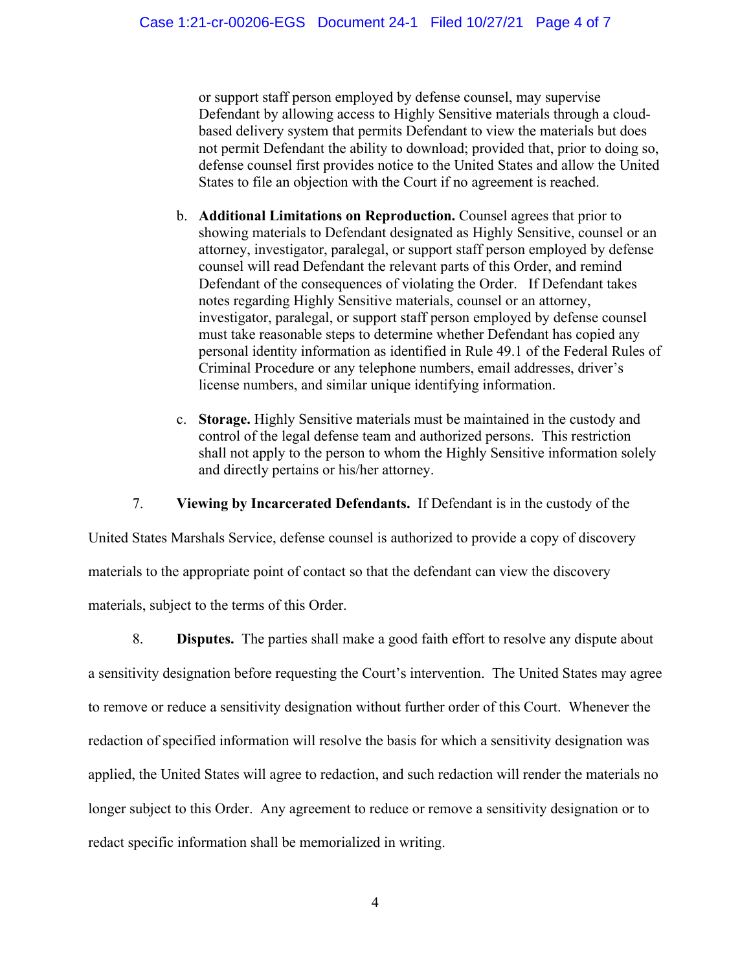or support staff person employed by defense counsel, may supervise Defendant by allowing access to Highly Sensitive materials through a cloudbased delivery system that permits Defendant to view the materials but does not permit Defendant the ability to download; provided that, prior to doing so, defense counsel first provides notice to the United States and allow the United States to file an objection with the Court if no agreement is reached.

- b. **Additional Limitations on Reproduction.** Counsel agrees that prior to showing materials to Defendant designated as Highly Sensitive, counsel or an attorney, investigator, paralegal, or support staff person employed by defense counsel will read Defendant the relevant parts of this Order, and remind Defendant of the consequences of violating the Order. If Defendant takes notes regarding Highly Sensitive materials, counsel or an attorney, investigator, paralegal, or support staff person employed by defense counsel must take reasonable steps to determine whether Defendant has copied any personal identity information as identified in Rule 49.1 of the Federal Rules of Criminal Procedure or any telephone numbers, email addresses, driver's license numbers, and similar unique identifying information.
- c. **Storage.** Highly Sensitive materials must be maintained in the custody and control of the legal defense team and authorized persons. This restriction shall not apply to the person to whom the Highly Sensitive information solely and directly pertains or his/her attorney.

7. **Viewing by Incarcerated Defendants.** If Defendant is in the custody of the

United States Marshals Service, defense counsel is authorized to provide a copy of discovery materials to the appropriate point of contact so that the defendant can view the discovery materials, subject to the terms of this Order.

8. **Disputes.** The parties shall make a good faith effort to resolve any dispute about a sensitivity designation before requesting the Court's intervention. The United States may agree to remove or reduce a sensitivity designation without further order of this Court. Whenever the redaction of specified information will resolve the basis for which a sensitivity designation was applied, the United States will agree to redaction, and such redaction will render the materials no longer subject to this Order. Any agreement to reduce or remove a sensitivity designation or to redact specific information shall be memorialized in writing.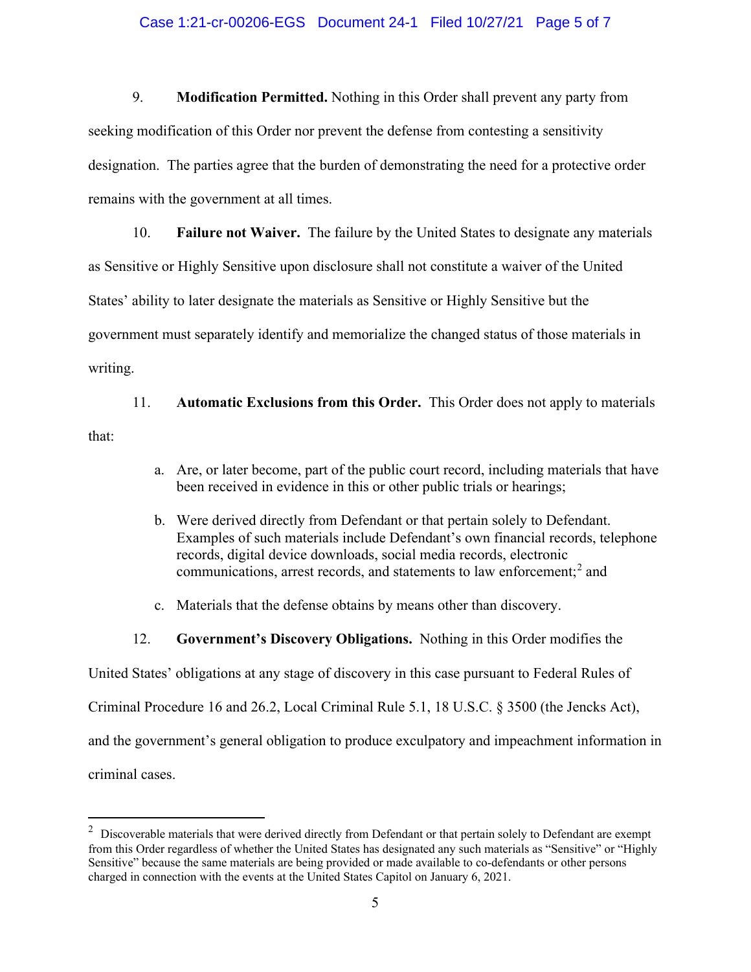### Case 1:21-cr-00206-EGS Document 24-1 Filed 10/27/21 Page 5 of 7

9. **Modification Permitted.** Nothing in this Order shall prevent any party from seeking modification of this Order nor prevent the defense from contesting a sensitivity designation. The parties agree that the burden of demonstrating the need for a protective order remains with the government at all times.

10. **Failure not Waiver.** The failure by the United States to designate any materials as Sensitive or Highly Sensitive upon disclosure shall not constitute a waiver of the United States' ability to later designate the materials as Sensitive or Highly Sensitive but the government must separately identify and memorialize the changed status of those materials in writing.

11. **Automatic Exclusions from this Order.** This Order does not apply to materials that:

- a. Are, or later become, part of the public court record, including materials that have been received in evidence in this or other public trials or hearings;
- b. Were derived directly from Defendant or that pertain solely to Defendant. Examples of such materials include Defendant's own financial records, telephone records, digital device downloads, social media records, electronic communications, arrest records, and statements to law enforcement; <sup>2</sup> and
- c. Materials that the defense obtains by means other than discovery.
- 12. **Government's Discovery Obligations.** Nothing in this Order modifies the

United States' obligations at any stage of discovery in this case pursuant to Federal Rules of

Criminal Procedure 16 and 26.2, Local Criminal Rule 5.1, 18 U.S.C. § 3500 (the Jencks Act),

and the government's general obligation to produce exculpatory and impeachment information in

criminal cases.

 $2$  Discoverable materials that were derived directly from Defendant or that pertain solely to Defendant are exempt from this Order regardless of whether the United States has designated any such materials as "Sensitive" or "Highly Sensitive" because the same materials are being provided or made available to co-defendants or other persons charged in connection with the events at the United States Capitol on January 6, 2021.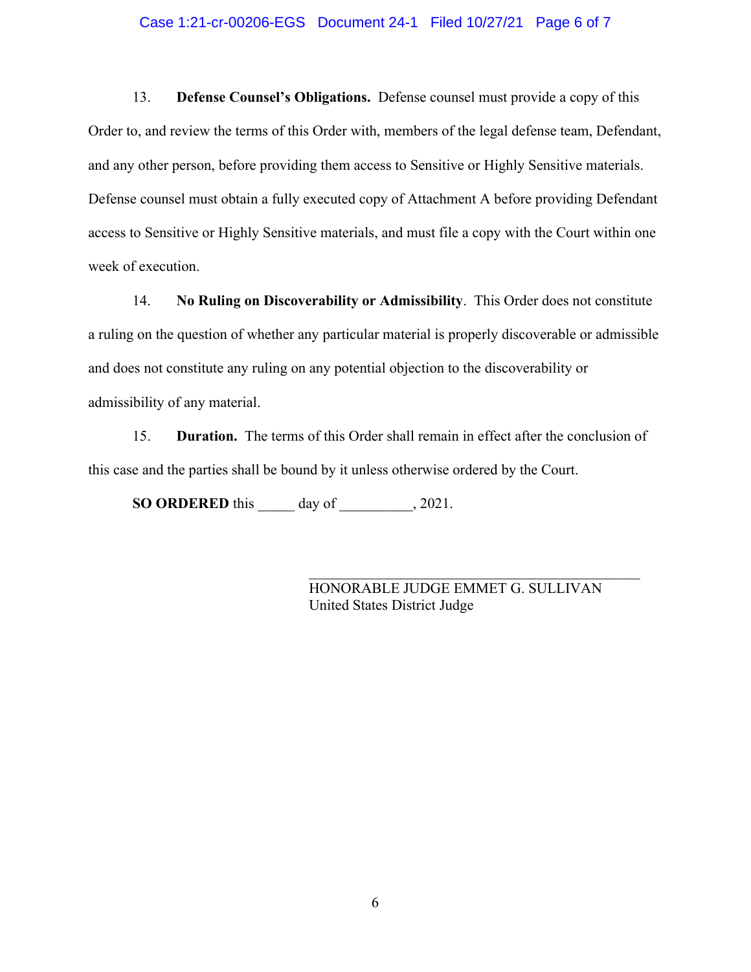#### Case 1:21-cr-00206-EGS Document 24-1 Filed 10/27/21 Page 6 of 7

13. **Defense Counsel's Obligations.** Defense counsel must provide a copy of this Order to, and review the terms of this Order with, members of the legal defense team, Defendant, and any other person, before providing them access to Sensitive or Highly Sensitive materials. Defense counsel must obtain a fully executed copy of Attachment A before providing Defendant access to Sensitive or Highly Sensitive materials, and must file a copy with the Court within one week of execution.

14. **No Ruling on Discoverability or Admissibility**. This Order does not constitute a ruling on the question of whether any particular material is properly discoverable or admissible and does not constitute any ruling on any potential objection to the discoverability or admissibility of any material.

15. **Duration.** The terms of this Order shall remain in effect after the conclusion of this case and the parties shall be bound by it unless otherwise ordered by the Court.

**SO ORDERED** this \_\_\_\_\_ day of \_\_\_\_\_\_\_\_\_\_, 2021.

HONORABLE JUDGE EMMET G. SULLIVAN United States District Judge

\_\_\_\_\_\_\_\_\_\_\_\_\_\_\_\_\_\_\_\_\_\_\_\_\_\_\_\_\_\_\_\_\_\_\_\_\_\_\_\_\_\_\_\_\_